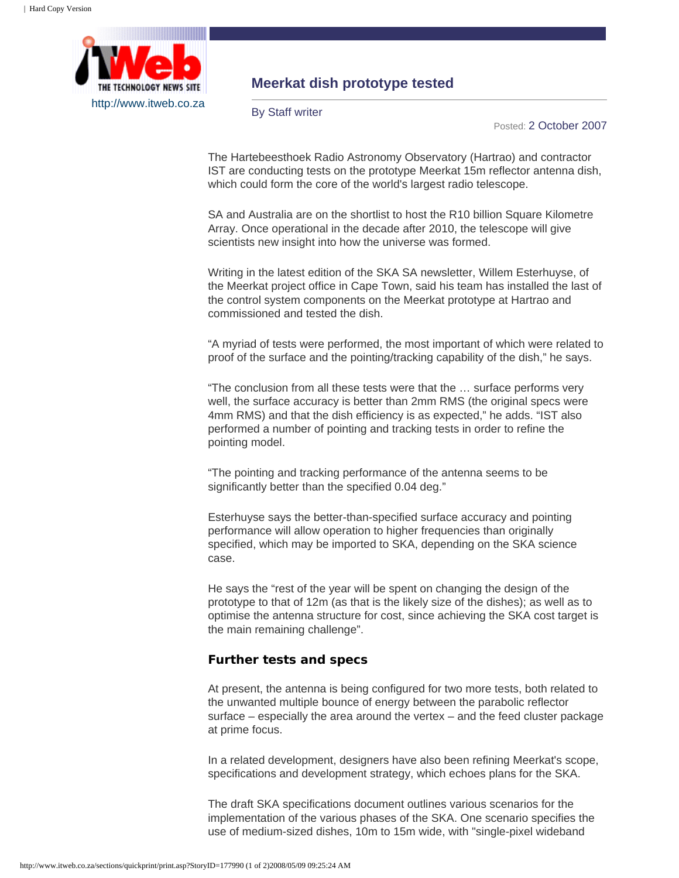

## **Meerkat dish prototype tested**

By Staff writer

Posted: 2 October 2007

The Hartebeesthoek Radio Astronomy Observatory (Hartrao) and contractor IST are conducting tests on the prototype Meerkat 15m reflector antenna dish, which could form the core of the world's largest radio telescope.

SA and Australia are on the shortlist to host the R10 billion Square Kilometre Array. Once operational in the decade after 2010, the telescope will give scientists new insight into how the universe was formed.

Writing in the latest edition of the SKA SA newsletter, Willem Esterhuyse, of the Meerkat project office in Cape Town, said his team has installed the last of the control system components on the Meerkat prototype at Hartrao and commissioned and tested the dish.

"A myriad of tests were performed, the most important of which were related to proof of the surface and the pointing/tracking capability of the dish," he says.

"The conclusion from all these tests were that the … surface performs very well, the surface accuracy is better than 2mm RMS (the original specs were 4mm RMS) and that the dish efficiency is as expected," he adds. "IST also performed a number of pointing and tracking tests in order to refine the pointing model.

"The pointing and tracking performance of the antenna seems to be significantly better than the specified 0.04 deg."

Esterhuyse says the better-than-specified surface accuracy and pointing performance will allow operation to higher frequencies than originally specified, which may be imported to SKA, depending on the SKA science case.

He says the "rest of the year will be spent on changing the design of the prototype to that of 12m (as that is the likely size of the dishes); as well as to optimise the antenna structure for cost, since achieving the SKA cost target is the main remaining challenge".

## **Further tests and specs**

At present, the antenna is being configured for two more tests, both related to the unwanted multiple bounce of energy between the parabolic reflector surface – especially the area around the vertex – and the feed cluster package at prime focus.

In a related development, designers have also been refining Meerkat's scope, specifications and development strategy, which echoes plans for the SKA.

The draft SKA specifications document outlines various scenarios for the implementation of the various phases of the SKA. One scenario specifies the use of medium-sized dishes, 10m to 15m wide, with "single-pixel wideband